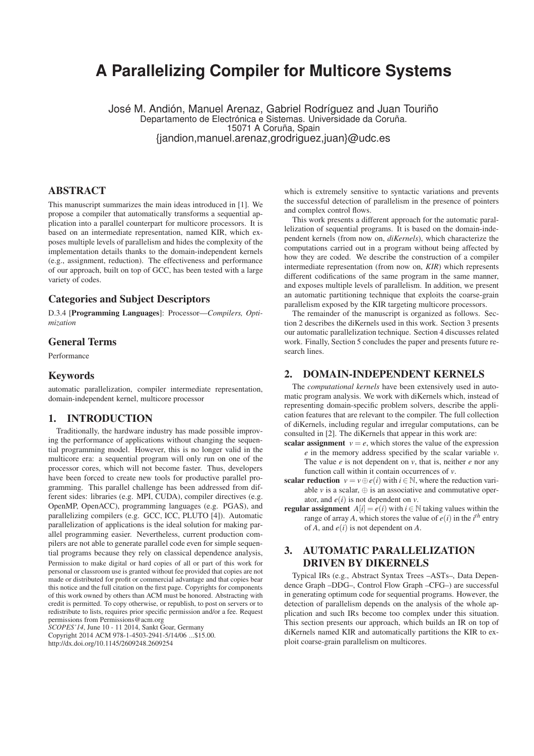# **A Parallelizing Compiler for Multicore Systems**

José M. Andión, Manuel Arenaz, Gabriel Rodríguez and Juan Touriño Departamento de Electrónica e Sistemas. Universidade da Coruña. 15071 A Coruña, Spain {jandion,manuel.arenaz,grodriguez,juan}@udc.es

## ABSTRACT

This manuscript summarizes the main ideas introduced in [1]. We propose a compiler that automatically transforms a sequential application into a parallel counterpart for multicore processors. It is based on an intermediate representation, named KIR, which exposes multiple levels of parallelism and hides the complexity of the implementation details thanks to the domain-independent kernels (e.g., assignment, reduction). The effectiveness and performance of our approach, built on top of GCC, has been tested with a large variety of codes.

### Categories and Subject Descriptors

D.3.4 [Programming Languages]: Processor—*Compilers, Optimization*

### General Terms

Performance

#### Keywords

automatic parallelization, compiler intermediate representation, domain-independent kernel, multicore processor

### 1. INTRODUCTION

Traditionally, the hardware industry has made possible improving the performance of applications without changing the sequential programming model. However, this is no longer valid in the multicore era: a sequential program will only run on one of the processor cores, which will not become faster. Thus, developers have been forced to create new tools for productive parallel programming. This parallel challenge has been addressed from different sides: libraries (e.g. MPI, CUDA), compiler directives (e.g. OpenMP, OpenACC), programming languages (e.g. PGAS), and parallelizing compilers (e.g. GCC, ICC, PLUTO [4]). Automatic parallelization of applications is the ideal solution for making parallel programming easier. Nevertheless, current production compilers are not able to generate parallel code even for simple sequential programs because they rely on classical dependence analysis, Permission to make digital or hard copies of all or part of this work for personal or classroom use is granted without fee provided that copies are not made or distributed for profit or commercial advantage and that copies bear this notice and the full citation on the first page. Copyrights for components of this work owned by others than ACM must be honored. Abstracting with credit is permitted. To copy otherwise, or republish, to post on servers or to redistribute to lists, requires prior specific permission and/or a fee. Request permissions from Permissions@acm.org

*SCOPES'14*, June 10 - 11 2014, Sankt Goar, Germany Copyright 2014 ACM 978-1-4503-2941-5/14/06 ...\$15.00.

http://dx.doi.org/10.1145/2609248.2609254

which is extremely sensitive to syntactic variations and prevents the successful detection of parallelism in the presence of pointers and complex control flows.

This work presents a different approach for the automatic parallelization of sequential programs. It is based on the domain-independent kernels (from now on, *diKernels*), which characterize the computations carried out in a program without being affected by how they are coded. We describe the construction of a compiler intermediate representation (from now on, *KIR*) which represents different codifications of the same program in the same manner, and exposes multiple levels of parallelism. In addition, we present an automatic partitioning technique that exploits the coarse-grain parallelism exposed by the KIR targeting multicore processors.

The remainder of the manuscript is organized as follows. Section 2 describes the diKernels used in this work. Section 3 presents our automatic parallelization technique. Section 4 discusses related work. Finally, Section 5 concludes the paper and presents future research lines.

### 2. DOMAIN-INDEPENDENT KERNELS

The *computational kernels* have been extensively used in automatic program analysis. We work with diKernels which, instead of representing domain-specific problem solvers, describe the application features that are relevant to the compiler. The full collection of diKernels, including regular and irregular computations, can be consulted in [2]. The diKernels that appear in this work are:

- scalar assignment  $v = e$ , which stores the value of the expression *e* in the memory address specified by the scalar variable *v*. The value *e* is not dependent on *v*, that is, neither *e* nor any function call within it contain occurrences of *v*.
- scalar reduction  $v = v \oplus e(i)$  with  $i \in \mathbb{N}$ , where the reduction variable  $\nu$  is a scalar,  $\oplus$  is an associative and commutative operator, and  $e(i)$  is not dependent on  $v$ .
- **regular assignment**  $A[i] = e(i)$  with  $i \in \mathbb{N}$  taking values within the range of array *A*, which stores the value of  $e(i)$  in the *i*<sup>th</sup> entry of *A*, and *e*(*i*) is not dependent on *A*.

# 3. AUTOMATIC PARALLELIZATION DRIVEN BY DIKERNELS

Typical IRs (e.g., Abstract Syntax Trees –ASTs–, Data Dependence Graph –DDG–, Control Flow Graph –CFG–) are successful in generating optimum code for sequential programs. However, the detection of parallelism depends on the analysis of the whole application and such IRs become too complex under this situation. This section presents our approach, which builds an IR on top of diKernels named KIR and automatically partitions the KIR to exploit coarse-grain parallelism on multicores.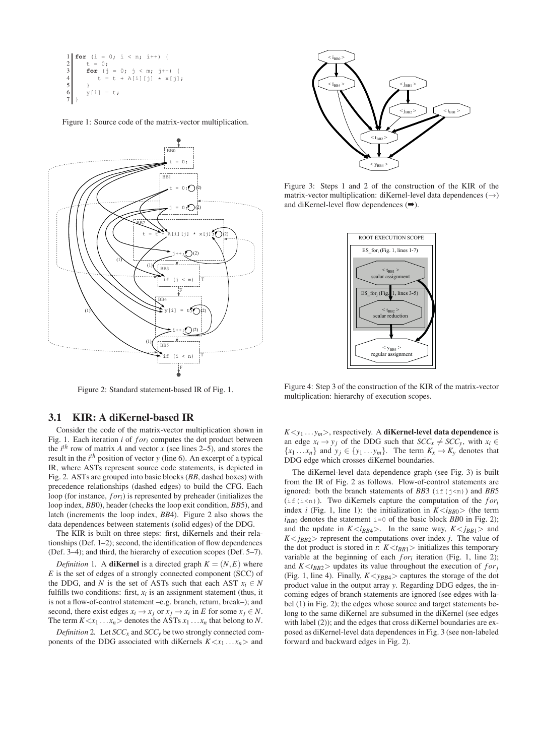1 **for** (i = 0; i < n; i++) { 2 t = 0; 3 **for** (j = 0; j < m; j++) { 4 t = t + A[i][j] \* x[j]; 5 } 6 y[i] = t; 7 }

Figure 1: Source code of the matrix-vector multiplication.



Figure 2: Standard statement-based IR of Fig. 1.

### 3.1 KIR: A diKernel-based IR

Consider the code of the matrix-vector multiplication shown in Fig. 1. Each iteration  $i$  of  $for_i$  computes the dot product between the  $i^{th}$  row of matrix *A* and vector *x* (see lines 2–5), and stores the result in the *i th* position of vector *y* (line 6). An excerpt of a typical IR, where ASTs represent source code statements, is depicted in Fig. 2. ASTs are grouped into basic blocks (*BB*, dashed boxes) with precedence relationships (dashed edges) to build the CFG. Each loop (for instance, *for<sub>i</sub>*) is represented by preheader (initializes the loop index, *BB*0), header (checks the loop exit condition, *BB*5), and latch (increments the loop index, *BB*4). Figure 2 also shows the data dependences between statements (solid edges) of the DDG.

The KIR is built on three steps: first, diKernels and their relationships (Def. 1–2); second, the identification of flow dependences (Def. 3–4); and third, the hierarchy of execution scopes (Def. 5–7).

*Definition* 1. A **diKernel** is a directed graph  $K = (N, E)$  where *E* is the set of edges of a strongly connected component (SCC) of the DDG, and *N* is the set of ASTs such that each AST  $x_i \in N$ fulfills two conditions: first,  $x_i$  is an assignment statement (thus, it is not a flow-of-control statement –e.g. branch, return, break–); and second, there exist edges  $x_i \rightarrow x_j$  or  $x_j \rightarrow x_i$  in *E* for some  $x_j \in N$ . The term  $K \le x_1 \dots x_n$  denotes the ASTs  $x_1 \dots x_n$  that belong to *N*.

*Definition* 2*.* Let  $SCC<sub>x</sub>$  and  $SCC<sub>y</sub>$  be two strongly connected components of the DDG associated with diKernels  $K \leq x_1 \ldots x_n$  and



Figure 3: Steps 1 and 2 of the construction of the KIR of the matrix-vector multiplication: diKernel-level data dependences  $(\rightarrow)$ and diKernel-level flow dependences (➡).



Figure 4: Step 3 of the construction of the KIR of the matrix-vector multiplication: hierarchy of execution scopes.

 $K < y_1 \ldots y_m$ , respectively. A **diKernel-level data dependence** is an edge  $x_i \rightarrow y_j$  of the DDG such that  $SCC_x \neq SCC_y$ , with  $x_i \in$  ${x_1 \dots x_n}$  and  $y_j \in {y_1 \dots y_m}$ . The term  $K_x \to K_y$  denotes that DDG edge which crosses diKernel boundaries.

The diKernel-level data dependence graph (see Fig. 3) is built from the IR of Fig. 2 as follows. Flow-of-control statements are ignored: both the branch statements of *BB*3 (if(j<m)) and *BB*5 (if(i<n)). Two diKernels capture the computation of the  $for<sub>i</sub>$ index *i* (Fig. 1, line 1): the initialization in  $K \langle i_{BB0} \rangle$  (the term  $i_{BB0}$  denotes the statement  $i=0$  of the basic block *BB*0 in Fig. 2); and the update in  $K \le i_{BB4}$ . In the same way,  $K \le j_{BB1}$  and  $K \leq j_{BB2}$  represent the computations over index *j*. The value of the dot product is stored in *t*:  $K < t_{BB1}$  initializes this temporary variable at the beginning of each  $for<sub>i</sub>$  iteration (Fig. 1, line 2); and  $K < t_{BB2}$  updates its value throughout the execution of *for*<sup>*j*</sup> (Fig. 1, line 4). Finally,  $K < y_{BB4}$  captures the storage of the dot product value in the output array *y*. Regarding DDG edges, the incoming edges of branch statements are ignored (see edges with label (1) in Fig. 2); the edges whose source and target statements belong to the same diKernel are subsumed in the diKernel (see edges with label (2)); and the edges that cross diKernel boundaries are exposed as diKernel-level data dependences in Fig. 3 (see non-labeled forward and backward edges in Fig. 2).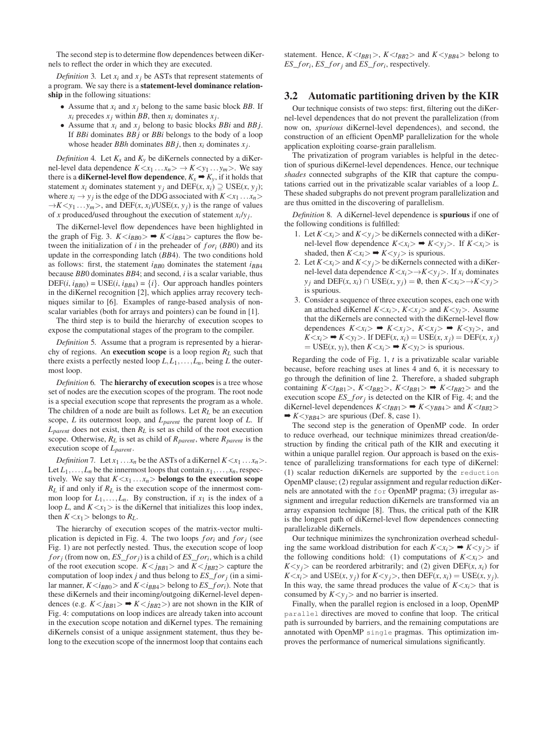The second step is to determine flow dependences between diKernels to reflect the order in which they are executed.

*Definition* 3. Let  $x_i$  and  $x_j$  be ASTs that represent statements of a program. We say there is a statement-level dominance relationship in the following situations:

- Assume that  $x_i$  and  $x_j$  belong to the same basic block *BB*. If  $x_i$  precedes  $x_j$  within *BB*, then  $x_i$  dominates  $x_j$ .
- Assume that  $x_i$  and  $x_j$  belong to basic blocks *BBi* and *BBj*. If *BBi* dominates *BB j* or *BBi* belongs to the body of a loop whose header *BBh* dominates *BBj*, then  $x_i$  dominates  $x_j$ .

*Definition* 4. Let  $K_x$  and  $K_y$  be diKernels connected by a diKernel-level data dependence  $K \langle x_1 \dots x_n \rangle \rightarrow K \langle y_1 \dots y_m \rangle$ . We say there is a **diKernel-level flow dependence**,  $K_x \rightarrow K_y$ , if it holds that statement *x*<sup>*i*</sup> dominates statement *y*<sup>*j*</sup> and DEF(*x*, *x*<sub>*i*</sub>)  $\supseteq$  USE(*x*, *y*<sub>*j*</sub>); where  $x_i \rightarrow y_j$  is the edge of the DDG associated with  $K \leq x_1 \dots x_n$  $\rightarrow$ *K*<*y*<sub>1</sub> ... *y*<sub>*m*</sub>>, and DEF(*x*, *x<sub>i</sub>*)/USE(*x*, *y<sub>j</sub>*) is the range of values of *x* produced/used throughout the execution of statement  $x_i/y_j$ .

The diKernel-level flow dependences have been highlighted in the graph of Fig. 3.  $K \langle i_{BB0} \rangle \rightarrow K \langle i_{BB4} \rangle$  captures the flow between the initialization of *i* in the preheader of  $for_i$  (*BB*0) and its update in the corresponding latch (*BB*4). The two conditions hold as follows: first, the statement  $i_{BB0}$  dominates the statement  $i_{BB4}$ because *BB*0 dominates *BB*4; and second, *i* is a scalar variable, thus  $DEF(i, i_{BB0}) = \text{USE}(i, i_{BB4}) = \{i\}$ . Our approach handles pointers in the diKernel recognition [2], which applies array recovery techniques similar to [6]. Examples of range-based analysis of nonscalar variables (both for arrays and pointers) can be found in [1].

The third step is to build the hierarchy of execution scopes to expose the computational stages of the program to the compiler.

*Definition* 5*.* Assume that a program is represented by a hierarchy of regions. An execution scope is a loop region  $R_L$  such that there exists a perfectly nested loop  $L, L_1, \ldots, L_n$ , being  $L$  the outermost loop.

*Definition* 6*.* The hierarchy of execution scopes is a tree whose set of nodes are the execution scopes of the program. The root node is a special execution scope that represents the program as a whole. The children of a node are built as follows. Let *RL* be an execution scope, *L* its outermost loop, and *Lparent* the parent loop of *L*. If  $L_{parent}$  does not exist, then  $R_L$  is set as child of the root execution scope. Otherwise, *RL* is set as child of *Rparent*, where *Rparent* is the execution scope of *Lparent*.

*Definition* 7. Let  $x_1 \ldots x_n$  be the ASTs of a diKernel  $K \leq x_1 \ldots x_n$ >. Let  $L_1, \ldots, L_n$  be the innermost loops that contain  $x_1, \ldots, x_n$ , respectively. We say that  $K < x_1 \ldots x_n$  belongs to the execution scope  $R_L$  if and only if  $R_L$  is the execution scope of the innermost common loop for  $L_1, \ldots, L_n$ . By construction, if  $x_1$  is the index of a loop *L*, and  $K \langle x_1 \rangle$  is the diKernel that initializes this loop index, then  $K \leq x_1$  belongs to  $R_L$ .

The hierarchy of execution scopes of the matrix-vector multiplication is depicted in Fig. 4. The two loops  $for_i$  and  $for_j$  (see Fig. 1) are not perfectly nested. Thus, the execution scope of loop *f orj* (from now on, *ES*\_ *f orj*) is a child of *ES*\_ *f ori* , which is a child of the root execution scope.  $K \le j_{BB1} >$  and  $K \le j_{BB2} >$  capture the computation of loop index *j* and thus belong to  $ES\_for_j$  (in a similar manner,  $K \leq i_{BB0}$  and  $K \leq i_{BB4}$  belong to *ES\_for<sub>i</sub>*). Note that these diKernels and their incoming/outgoing diKernel-level dependences (e.g.  $K \le j_{BB1}$ )  $\Rightarrow K \le j_{BB2}$ ) are not shown in the KIR of Fig. 4: computations on loop indices are already taken into account in the execution scope notation and diKernel types. The remaining diKernels consist of a unique assignment statement, thus they belong to the execution scope of the innermost loop that contains each statement. Hence,  $K \le t_{BB1}$ ,  $K \le t_{BB2}$  and  $K \le y_{BB4}$  belong to  $ES\_for_i$ ,  $ES\_for_j$  and  $ES\_for_i$ , respectively.

### 3.2 Automatic partitioning driven by the KIR

Our technique consists of two steps: first, filtering out the diKernel-level dependences that do not prevent the parallelization (from now on, *spurious* diKernel-level dependences), and second, the construction of an efficient OpenMP parallelization for the whole application exploiting coarse-grain parallelism.

The privatization of program variables is helpful in the detection of spurious diKernel-level dependences. Hence, our technique *shades* connected subgraphs of the KIR that capture the computations carried out in the privatizable scalar variables of a loop *L*. These shaded subgraphs do not prevent program parallelization and are thus omitted in the discovering of parallelism.

*Definition* 8*.* A diKernel-level dependence is spurious if one of the following conditions is fulfilled:

- 1. Let  $K \langle x_i \rangle$  and  $K \langle y_i \rangle$  be diKernels connected with a diKernel-level flow dependence  $K < x_i$   $\Rightarrow K < y_i$  >. If  $K < x_i$  is shaded, then  $K < x_i$   $\Rightarrow K < y_j$  is spurious.
- 2. Let  $K \le x_i$  and  $K \le y_j$  be diKernels connected with a diKernel-level data dependence  $K < x_i > \rightarrow K < y_i >$ . If  $x_i$  dominates *y*<sup>*j*</sup> and DEF(*x*, *x<sub>i</sub>*</sub>) ∩ USE(*x*, *y*<sub>*j*</sub>) =  $\emptyset$ , then *K*<*x<sub>i</sub>*>→*K*<*y*<sub>*j*</sub>> is spurious.
- 3. Consider a sequence of three execution scopes, each one with an attached diKernel  $K \langle x_i \rangle$ ,  $K \langle x_i \rangle$  and  $K \langle y_i \rangle$ . Assume that the diKernels are connected with the diKernel-level flow dependences  $K \langle x_i \rangle \rightarrow K \langle x_i \rangle$ ,  $K \langle x_i \rangle \rightarrow K \langle y_i \rangle$ , and  $K < x_i$   $\Rightarrow K < y_i$   $>$ . If DEF(*x*, *x<sub>i</sub>*) = USE(*x*, *x<sub>i</sub>*) = DEF(*x*, *x<sub>i</sub>*)  $= \text{USE}(x, y_l)$ , then  $K \le x_i$   $> \Rightarrow K \le y_l$  is spurious.

Regarding the code of Fig. 1, *t* is a privatizable scalar variable because, before reaching uses at lines 4 and 6, it is necessary to go through the definition of line 2. Therefore, a shaded subgraph containing  $K < t_{BB1} > K < t_{BB2} > K < t_{BB1} > \implies K < t_{BB2} >$  and the execution scope  $ES\_for_j$  is detected on the KIR of Fig. 4; and the diKernel-level dependences  $K < t_{BB1} > \rightarrow K < y_{BB4} >$  and  $K < t_{BB2} >$  $\blacktriangleright K \langle y_{BB4} \rangle$  are spurious (Def. 8, case 1).

The second step is the generation of OpenMP code. In order to reduce overhead, our technique minimizes thread creation/destruction by finding the critical path of the KIR and executing it within a unique parallel region. Our approach is based on the existence of parallelizing transformations for each type of diKernel: (1) scalar reduction diKernels are supported by the reduction OpenMP clause; (2) regular assignment and regular reduction diKernels are annotated with the for OpenMP pragma; (3) irregular assignment and irregular reduction diKernels are transformed via an array expansion technique [8]. Thus, the critical path of the KIR is the longest path of diKernel-level flow dependences connecting parallelizable diKernels.

Our technique minimizes the synchronization overhead scheduling the same workload distribution for each  $K \langle x_i \rangle \rightarrow K \langle y_i \rangle$  if the following conditions hold: (1) computations of  $K \leq x_i$  and  $K < y_i$  and be reordered arbitrarily; and (2) given DEF(*x*, *x<sub>i</sub>*) for  $K \leq x_i$  and USE(*x*, *y*<sub>*i*</sub>) for  $K \leq y_i$ , then DEF(*x*, *x<sub>i</sub>*) = USE(*x*, *y*<sub>*i*</sub>). In this way, the same thread produces the value of  $K \langle x_i \rangle$  that is consumed by  $K < y_i$  and no barrier is inserted.

Finally, when the parallel region is enclosed in a loop, OpenMP parallel directives are moved to confine that loop. The critical path is surrounded by barriers, and the remaining computations are annotated with OpenMP single pragmas. This optimization improves the performance of numerical simulations significantly.